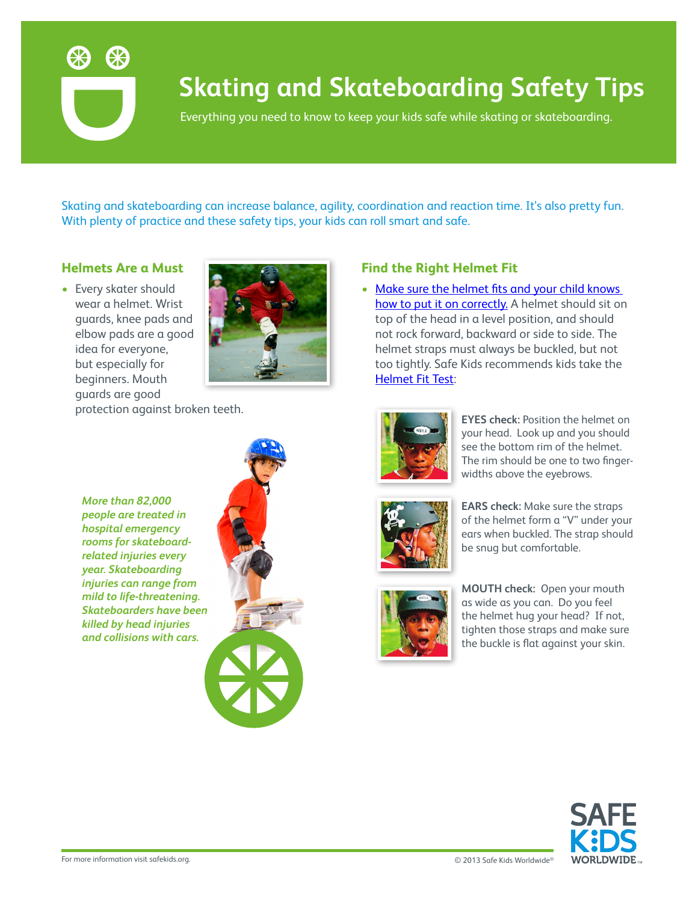

# **Skating and Skateboarding Safety Tips**

Everything you need to know to keep your kids safe while skating or skateboarding.

Skating and skateboarding can increase balance, agility, coordination and reaction time. It's also pretty fun. With plenty of practice and these safety tips, your kids can roll smart and safe.

## **Helmets Are a Must**

• Every skater should wear a helmet. Wrist guards, knee pads and elbow pads are a good idea for everyone, but especially for beginners. Mouth guards are good



protection against broken teeth.

*More than 82,000 people are treated in hospital emergency rooms for skateboardrelated injuries every year. Skateboarding injuries can range from mild to life-threatening. Skateboarders have been killed by head injuries and collisions with cars.*



## **Find the Right Helmet Fit**

• Make sure the helmet fits and your child knows [how to put it on correctly.](http://www.safekids.org/tip/helmet-fit-test-2013) A helmet should sit on top of the head in a level position, and should not rock forward, backward or side to side. The helmet straps must always be buckled, but not too tightly. Safe Kids recommends kids take the [Helmet Fit Test](https://www.safekids.org/video/bike-helmet-fit-test):



**EYES check:** Position the helmet on your head. Look up and you should see the bottom rim of the helmet. The rim should be one to two fingerwidths above the eyebrows.



**EARS check:** Make sure the straps of the helmet form a "V" under your ears when buckled. The strap should be snug but comfortable.



**MOUTH check:** Open your mouth as wide as you can. Do you feel the helmet hug your head? If not, tighten those straps and make sure the buckle is flat against your skin.